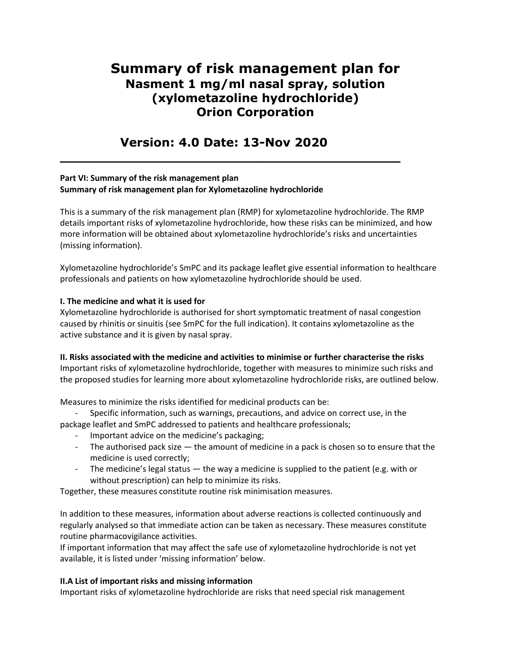# **Summary of risk management plan for Nasment 1 mg/ml nasal spray, solution (xylometazoline hydrochloride) Orion Corporation**

## **Version: 4.0 Date: 13-Nov 2020**

**\_\_\_\_\_\_\_\_\_\_\_\_\_\_\_\_\_\_\_\_\_\_\_\_\_\_\_\_\_\_\_\_\_\_\_\_\_\_\_\_\_**

## **Part VI: Summary of the risk management plan Summary of risk management plan for Xylometazoline hydrochloride**

This is a summary of the risk management plan (RMP) for xylometazoline hydrochloride. The RMP details important risks of xylometazoline hydrochloride, how these risks can be minimized, and how more information will be obtained about xylometazoline hydrochloride's risks and uncertainties (missing information).

Xylometazoline hydrochloride's SmPC and its package leaflet give essential information to healthcare professionals and patients on how xylometazoline hydrochloride should be used.

## **I. The medicine and what it is used for**

Xylometazoline hydrochloride is authorised for short symptomatic treatment of nasal congestion caused by rhinitis or sinuitis (see SmPC for the full indication). It contains xylometazoline as the active substance and it is given by nasal spray.

**II. Risks associated with the medicine and activities to minimise or further characterise the risks** Important risks of xylometazoline hydrochloride, together with measures to minimize such risks and the proposed studies for learning more about xylometazoline hydrochloride risks, are outlined below.

Measures to minimize the risks identified for medicinal products can be:

Specific information, such as warnings, precautions, and advice on correct use, in the package leaflet and SmPC addressed to patients and healthcare professionals;

- Important advice on the medicine's packaging;
- The authorised pack size the amount of medicine in a pack is chosen so to ensure that the medicine is used correctly;
- The medicine's legal status  $-$  the way a medicine is supplied to the patient (e.g. with or without prescription) can help to minimize its risks.

Together, these measures constitute routine risk minimisation measures.

In addition to these measures, information about adverse reactions is collected continuously and regularly analysed so that immediate action can be taken as necessary. These measures constitute routine pharmacovigilance activities.

If important information that may affect the safe use of xylometazoline hydrochloride is not yet available, it is listed under 'missing information' below.

## **II.A List of important risks and missing information**

Important risks of xylometazoline hydrochloride are risks that need special risk management